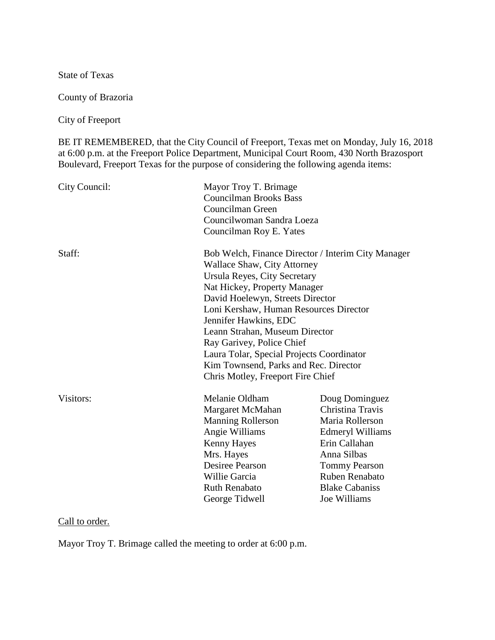State of Texas

County of Brazoria

City of Freeport

BE IT REMEMBERED, that the City Council of Freeport, Texas met on Monday, July 16, 2018 at 6:00 p.m. at the Freeport Police Department, Municipal Court Room, 430 North Brazosport Boulevard, Freeport Texas for the purpose of considering the following agenda items:

| City Council: | Mayor Troy T. Brimage<br><b>Councilman Brooks Bass</b><br>Councilman Green<br>Councilwoman Sandra Loeza<br>Councilman Roy E. Yates                                                                                                                                                                                                                                                                                                                 |                                                                                                                                                                                                     |
|---------------|----------------------------------------------------------------------------------------------------------------------------------------------------------------------------------------------------------------------------------------------------------------------------------------------------------------------------------------------------------------------------------------------------------------------------------------------------|-----------------------------------------------------------------------------------------------------------------------------------------------------------------------------------------------------|
| Staff:        | Bob Welch, Finance Director / Interim City Manager<br>Wallace Shaw, City Attorney<br>Ursula Reyes, City Secretary<br>Nat Hickey, Property Manager<br>David Hoelewyn, Streets Director<br>Loni Kershaw, Human Resources Director<br>Jennifer Hawkins, EDC<br>Leann Strahan, Museum Director<br>Ray Garivey, Police Chief<br>Laura Tolar, Special Projects Coordinator<br>Kim Townsend, Parks and Rec. Director<br>Chris Motley, Freeport Fire Chief |                                                                                                                                                                                                     |
| Visitors:     | Melanie Oldham<br>Margaret McMahan<br><b>Manning Rollerson</b><br>Angie Williams<br>Kenny Hayes<br>Mrs. Hayes<br>Desiree Pearson<br>Willie Garcia<br><b>Ruth Renabato</b><br>George Tidwell                                                                                                                                                                                                                                                        | Doug Dominguez<br>Christina Travis<br>Maria Rollerson<br><b>Edmeryl Williams</b><br>Erin Callahan<br>Anna Silbas<br><b>Tommy Pearson</b><br>Ruben Renabato<br><b>Blake Cabaniss</b><br>Joe Williams |

Call to order.

Mayor Troy T. Brimage called the meeting to order at 6:00 p.m.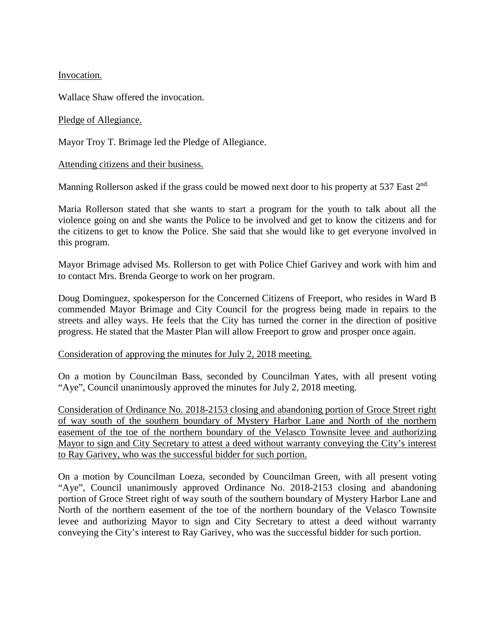Invocation.

Wallace Shaw offered the invocation.

# Pledge of Allegiance.

Mayor Troy T. Brimage led the Pledge of Allegiance.

# Attending citizens and their business.

Manning Rollerson asked if the grass could be mowed next door to his property at 537 East  $2<sup>nd</sup>$ .

Maria Rollerson stated that she wants to start a program for the youth to talk about all the violence going on and she wants the Police to be involved and get to know the citizens and for the citizens to get to know the Police. She said that she would like to get everyone involved in this program.

Mayor Brimage advised Ms. Rollerson to get with Police Chief Garivey and work with him and to contact Mrs. Brenda George to work on her program.

Doug Dominguez, spokesperson for the Concerned Citizens of Freeport, who resides in Ward B commended Mayor Brimage and City Council for the progress being made in repairs to the streets and alley ways. He feels that the City has turned the corner in the direction of positive progress. He stated that the Master Plan will allow Freeport to grow and prosper once again.

# Consideration of approving the minutes for July 2, 2018 meeting.

On a motion by Councilman Bass, seconded by Councilman Yates, with all present voting "Aye", Council unanimously approved the minutes for July 2, 2018 meeting.

Consideration of Ordinance No. 2018-2153 closing and abandoning portion of Groce Street right of way south of the southern boundary of Mystery Harbor Lane and North of the northern easement of the toe of the northern boundary of the Velasco Townsite levee and authorizing Mayor to sign and City Secretary to attest a deed without warranty conveying the City's interest to Ray Garivey, who was the successful bidder for such portion.

On a motion by Councilman Loeza, seconded by Councilman Green, with all present voting "Aye", Council unanimously approved Ordinance No. 2018-2153 closing and abandoning portion of Groce Street right of way south of the southern boundary of Mystery Harbor Lane and North of the northern easement of the toe of the northern boundary of the Velasco Townsite levee and authorizing Mayor to sign and City Secretary to attest a deed without warranty conveying the City's interest to Ray Garivey, who was the successful bidder for such portion.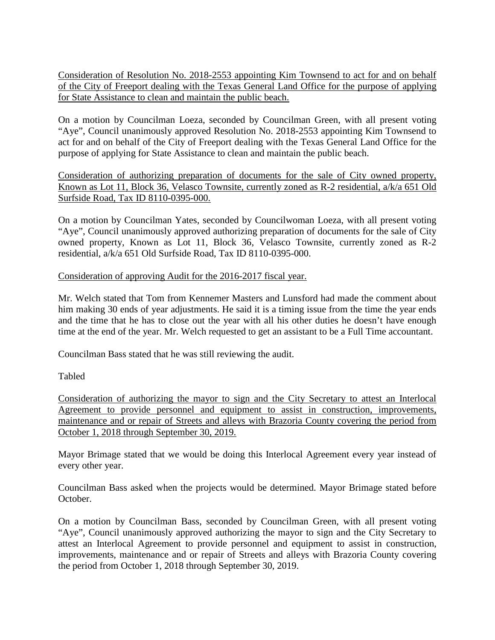Consideration of Resolution No. 2018-2553 appointing Kim Townsend to act for and on behalf of the City of Freeport dealing with the Texas General Land Office for the purpose of applying for State Assistance to clean and maintain the public beach.

On a motion by Councilman Loeza, seconded by Councilman Green, with all present voting "Aye", Council unanimously approved Resolution No. 2018-2553 appointing Kim Townsend to act for and on behalf of the City of Freeport dealing with the Texas General Land Office for the purpose of applying for State Assistance to clean and maintain the public beach.

Consideration of authorizing preparation of documents for the sale of City owned property, Known as Lot 11, Block 36, Velasco Townsite, currently zoned as R-2 residential, a/k/a 651 Old Surfside Road, Tax ID 8110-0395-000.

On a motion by Councilman Yates, seconded by Councilwoman Loeza, with all present voting "Aye", Council unanimously approved authorizing preparation of documents for the sale of City owned property, Known as Lot 11, Block 36, Velasco Townsite, currently zoned as R-2 residential, a/k/a 651 Old Surfside Road, Tax ID 8110-0395-000.

# Consideration of approving Audit for the 2016-2017 fiscal year.

Mr. Welch stated that Tom from Kennemer Masters and Lunsford had made the comment about him making 30 ends of year adjustments. He said it is a timing issue from the time the year ends and the time that he has to close out the year with all his other duties he doesn't have enough time at the end of the year. Mr. Welch requested to get an assistant to be a Full Time accountant.

Councilman Bass stated that he was still reviewing the audit.

Tabled

Consideration of authorizing the mayor to sign and the City Secretary to attest an Interlocal Agreement to provide personnel and equipment to assist in construction, improvements, maintenance and or repair of Streets and alleys with Brazoria County covering the period from October 1, 2018 through September 30, 2019.

Mayor Brimage stated that we would be doing this Interlocal Agreement every year instead of every other year.

Councilman Bass asked when the projects would be determined. Mayor Brimage stated before October.

On a motion by Councilman Bass, seconded by Councilman Green, with all present voting "Aye", Council unanimously approved authorizing the mayor to sign and the City Secretary to attest an Interlocal Agreement to provide personnel and equipment to assist in construction, improvements, maintenance and or repair of Streets and alleys with Brazoria County covering the period from October 1, 2018 through September 30, 2019.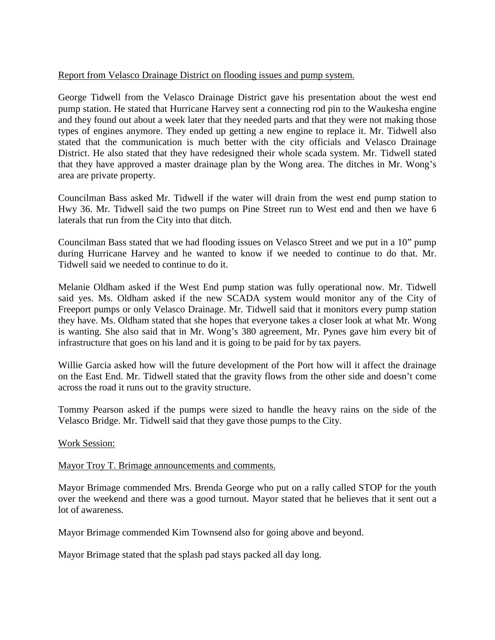# Report from Velasco Drainage District on flooding issues and pump system.

George Tidwell from the Velasco Drainage District gave his presentation about the west end pump station. He stated that Hurricane Harvey sent a connecting rod pin to the Waukesha engine and they found out about a week later that they needed parts and that they were not making those types of engines anymore. They ended up getting a new engine to replace it. Mr. Tidwell also stated that the communication is much better with the city officials and Velasco Drainage District. He also stated that they have redesigned their whole scada system. Mr. Tidwell stated that they have approved a master drainage plan by the Wong area. The ditches in Mr. Wong's area are private property.

Councilman Bass asked Mr. Tidwell if the water will drain from the west end pump station to Hwy 36. Mr. Tidwell said the two pumps on Pine Street run to West end and then we have 6 laterals that run from the City into that ditch.

Councilman Bass stated that we had flooding issues on Velasco Street and we put in a 10" pump during Hurricane Harvey and he wanted to know if we needed to continue to do that. Mr. Tidwell said we needed to continue to do it.

Melanie Oldham asked if the West End pump station was fully operational now. Mr. Tidwell said yes. Ms. Oldham asked if the new SCADA system would monitor any of the City of Freeport pumps or only Velasco Drainage. Mr. Tidwell said that it monitors every pump station they have. Ms. Oldham stated that she hopes that everyone takes a closer look at what Mr. Wong is wanting. She also said that in Mr. Wong's 380 agreement, Mr. Pynes gave him every bit of infrastructure that goes on his land and it is going to be paid for by tax payers.

Willie Garcia asked how will the future development of the Port how will it affect the drainage on the East End. Mr. Tidwell stated that the gravity flows from the other side and doesn't come across the road it runs out to the gravity structure.

Tommy Pearson asked if the pumps were sized to handle the heavy rains on the side of the Velasco Bridge. Mr. Tidwell said that they gave those pumps to the City.

# Work Session:

# Mayor Troy T. Brimage announcements and comments.

Mayor Brimage commended Mrs. Brenda George who put on a rally called STOP for the youth over the weekend and there was a good turnout. Mayor stated that he believes that it sent out a lot of awareness.

Mayor Brimage commended Kim Townsend also for going above and beyond.

Mayor Brimage stated that the splash pad stays packed all day long.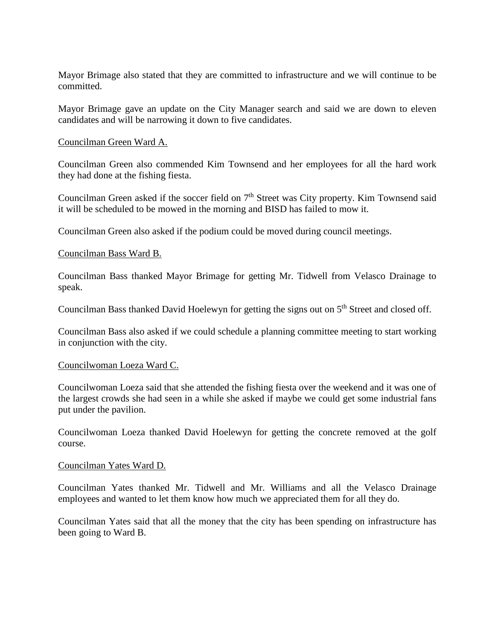Mayor Brimage also stated that they are committed to infrastructure and we will continue to be committed.

Mayor Brimage gave an update on the City Manager search and said we are down to eleven candidates and will be narrowing it down to five candidates.

## Councilman Green Ward A.

Councilman Green also commended Kim Townsend and her employees for all the hard work they had done at the fishing fiesta.

Councilman Green asked if the soccer field on  $7<sup>th</sup>$  Street was City property. Kim Townsend said it will be scheduled to be mowed in the morning and BISD has failed to mow it.

Councilman Green also asked if the podium could be moved during council meetings.

## Councilman Bass Ward B.

Councilman Bass thanked Mayor Brimage for getting Mr. Tidwell from Velasco Drainage to speak.

Councilman Bass thanked David Hoelewyn for getting the signs out on 5<sup>th</sup> Street and closed off.

Councilman Bass also asked if we could schedule a planning committee meeting to start working in conjunction with the city.

### Councilwoman Loeza Ward C.

Councilwoman Loeza said that she attended the fishing fiesta over the weekend and it was one of the largest crowds she had seen in a while she asked if maybe we could get some industrial fans put under the pavilion.

Councilwoman Loeza thanked David Hoelewyn for getting the concrete removed at the golf course.

### Councilman Yates Ward D.

Councilman Yates thanked Mr. Tidwell and Mr. Williams and all the Velasco Drainage employees and wanted to let them know how much we appreciated them for all they do.

Councilman Yates said that all the money that the city has been spending on infrastructure has been going to Ward B.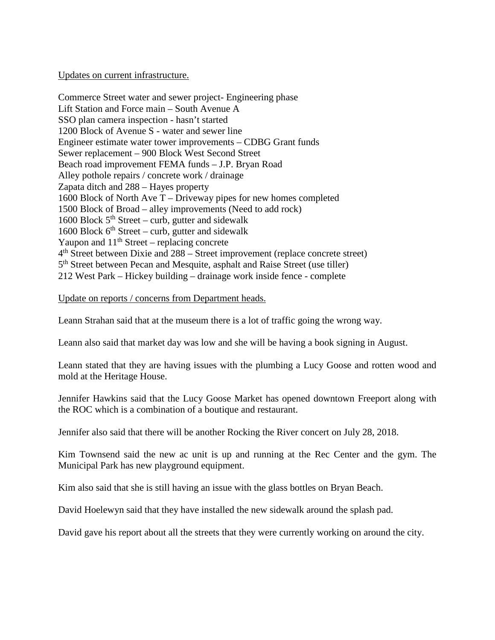## Updates on current infrastructure.

Commerce Street water and sewer project- Engineering phase Lift Station and Force main – South Avenue A SSO plan camera inspection - hasn't started 1200 Block of Avenue S - water and sewer line Engineer estimate water tower improvements – CDBG Grant funds Sewer replacement – 900 Block West Second Street Beach road improvement FEMA funds – J.P. Bryan Road Alley pothole repairs / concrete work / drainage Zapata ditch and 288 – Hayes property 1600 Block of North Ave T – Driveway pipes for new homes completed 1500 Block of Broad – alley improvements (Need to add rock) 1600 Block  $5<sup>th</sup> Street - \text{curb}$ , gutter and sidewalk 1600 Block  $6<sup>th</sup> Street - \text{curl}$ , gutter and sidewalk Yaupon and  $11<sup>th</sup>$  Street – replacing concrete  $4<sup>th</sup>$  Street between Dixie and 288 – Street improvement (replace concrete street) 5<sup>th</sup> Street between Pecan and Mesquite, asphalt and Raise Street (use tiller) 212 West Park – Hickey building – drainage work inside fence - complete

## Update on reports / concerns from Department heads.

Leann Strahan said that at the museum there is a lot of traffic going the wrong way.

Leann also said that market day was low and she will be having a book signing in August.

Leann stated that they are having issues with the plumbing a Lucy Goose and rotten wood and mold at the Heritage House.

Jennifer Hawkins said that the Lucy Goose Market has opened downtown Freeport along with the ROC which is a combination of a boutique and restaurant.

Jennifer also said that there will be another Rocking the River concert on July 28, 2018.

Kim Townsend said the new ac unit is up and running at the Rec Center and the gym. The Municipal Park has new playground equipment.

Kim also said that she is still having an issue with the glass bottles on Bryan Beach.

David Hoelewyn said that they have installed the new sidewalk around the splash pad.

David gave his report about all the streets that they were currently working on around the city.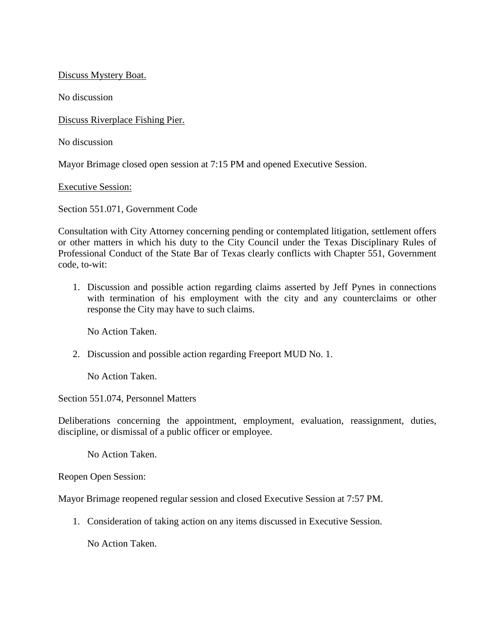Discuss Mystery Boat.

No discussion

Discuss Riverplace Fishing Pier.

No discussion

Mayor Brimage closed open session at 7:15 PM and opened Executive Session.

Executive Session:

Section 551.071, Government Code

Consultation with City Attorney concerning pending or contemplated litigation, settlement offers or other matters in which his duty to the City Council under the Texas Disciplinary Rules of Professional Conduct of the State Bar of Texas clearly conflicts with Chapter 551, Government code, to-wit:

1. Discussion and possible action regarding claims asserted by Jeff Pynes in connections with termination of his employment with the city and any counterclaims or other response the City may have to such claims.

No Action Taken.

2. Discussion and possible action regarding Freeport MUD No. 1.

No Action Taken.

Section 551.074, Personnel Matters

Deliberations concerning the appointment, employment, evaluation, reassignment, duties, discipline, or dismissal of a public officer or employee.

No Action Taken.

Reopen Open Session:

Mayor Brimage reopened regular session and closed Executive Session at 7:57 PM.

1. Consideration of taking action on any items discussed in Executive Session.

No Action Taken.